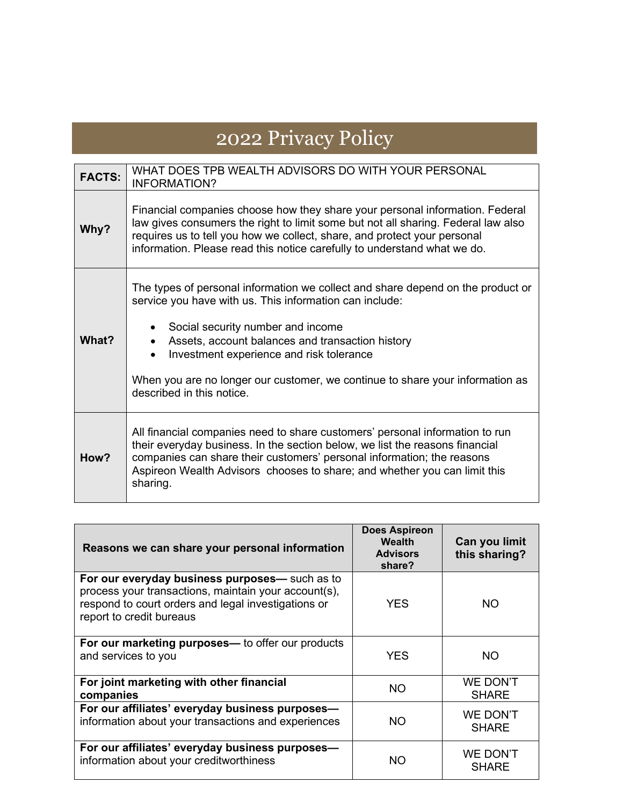## 2022 Privacy Policy

| <b>FACTS:</b> | WHAT DOES TPB WEALTH ADVISORS DO WITH YOUR PERSONAL<br><b>INFORMATION?</b>                                                                                                                                                                                                                                                                                                                    |  |
|---------------|-----------------------------------------------------------------------------------------------------------------------------------------------------------------------------------------------------------------------------------------------------------------------------------------------------------------------------------------------------------------------------------------------|--|
| Why?          | Financial companies choose how they share your personal information. Federal<br>law gives consumers the right to limit some but not all sharing. Federal law also<br>requires us to tell you how we collect, share, and protect your personal<br>information. Please read this notice carefully to understand what we do.                                                                     |  |
| What?         | The types of personal information we collect and share depend on the product or<br>service you have with us. This information can include:<br>Social security number and income<br>Assets, account balances and transaction history<br>Investment experience and risk tolerance<br>When you are no longer our customer, we continue to share your information as<br>described in this notice. |  |
| How?          | All financial companies need to share customers' personal information to run<br>their everyday business. In the section below, we list the reasons financial<br>companies can share their customers' personal information; the reasons<br>Aspireon Wealth Advisors chooses to share; and whether you can limit this<br>sharing.                                                               |  |

| Reasons we can share your personal information                                                                                                                                            | Does Aspireon<br>Wealth<br><b>Advisors</b><br>share? | Can you limit<br>this sharing? |
|-------------------------------------------------------------------------------------------------------------------------------------------------------------------------------------------|------------------------------------------------------|--------------------------------|
| For our everyday business purposes— such as to<br>process your transactions, maintain your account(s),<br>respond to court orders and legal investigations or<br>report to credit bureaus | <b>YES</b>                                           | NO.                            |
| For our marketing purposes— to offer our products<br>and services to you                                                                                                                  | <b>YES</b>                                           | <b>NO</b>                      |
| For joint marketing with other financial<br>companies                                                                                                                                     | <b>NO</b>                                            | WE DON'T<br><b>SHARE</b>       |
| For our affiliates' everyday business purposes-<br>information about your transactions and experiences                                                                                    | ΝO                                                   | WE DON'T<br><b>SHARE</b>       |
| For our affiliates' everyday business purposes-<br>information about your creditworthiness                                                                                                | ΝO                                                   | WE DON'T<br><b>SHARE</b>       |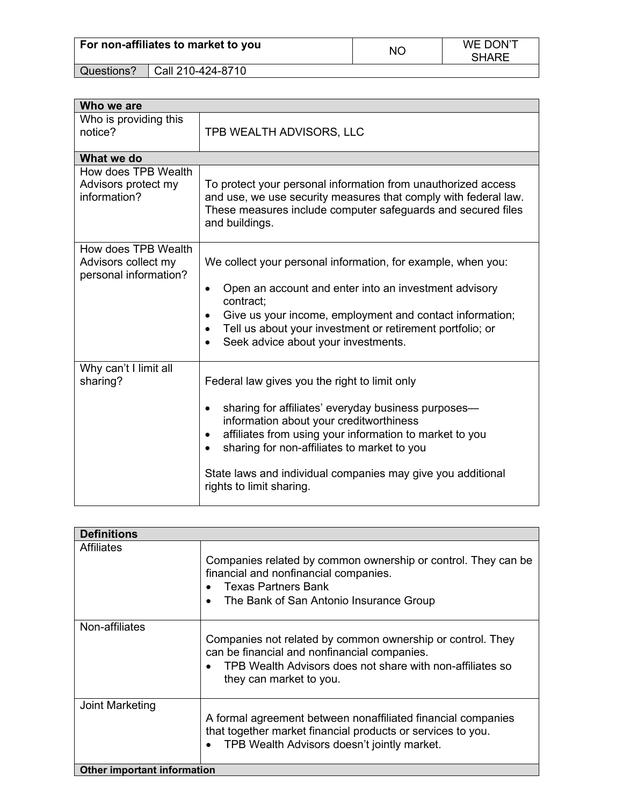|            | For non-affiliates to market to you | ΝC | WE DON'T<br><b>SHARE</b> |
|------------|-------------------------------------|----|--------------------------|
| Questions? | Call 210-424-8710                   |    |                          |

| Who we are                                                          |                                                                                                                                                                                                                                                                                                                                                        |  |  |  |
|---------------------------------------------------------------------|--------------------------------------------------------------------------------------------------------------------------------------------------------------------------------------------------------------------------------------------------------------------------------------------------------------------------------------------------------|--|--|--|
| Who is providing this<br>notice?                                    | TPB WEALTH ADVISORS, LLC                                                                                                                                                                                                                                                                                                                               |  |  |  |
| What we do                                                          |                                                                                                                                                                                                                                                                                                                                                        |  |  |  |
| How does TPB Wealth<br>Advisors protect my<br>information?          | To protect your personal information from unauthorized access<br>and use, we use security measures that comply with federal law.<br>These measures include computer safeguards and secured files<br>and buildings.                                                                                                                                     |  |  |  |
| How does TPB Wealth<br>Advisors collect my<br>personal information? | We collect your personal information, for example, when you:<br>Open an account and enter into an investment advisory<br>$\bullet$<br>contract:<br>Give us your income, employment and contact information;<br>$\bullet$<br>Tell us about your investment or retirement portfolio; or<br>$\bullet$<br>Seek advice about your investments.<br>$\bullet$ |  |  |  |
| Why can't I limit all<br>sharing?                                   | Federal law gives you the right to limit only<br>sharing for affiliates' everyday business purposes—<br>information about your creditworthiness<br>affiliates from using your information to market to you<br>sharing for non-affiliates to market to you<br>State laws and individual companies may give you additional<br>rights to limit sharing.   |  |  |  |

| <b>Definitions</b>                 |                                                                                                                                                                                                    |  |  |  |
|------------------------------------|----------------------------------------------------------------------------------------------------------------------------------------------------------------------------------------------------|--|--|--|
| Affiliates                         | Companies related by common ownership or control. They can be<br>financial and nonfinancial companies.<br><b>Texas Partners Bank</b><br>The Bank of San Antonio Insurance Group                    |  |  |  |
| Non-affiliates                     | Companies not related by common ownership or control. They<br>can be financial and nonfinancial companies.<br>TPB Wealth Advisors does not share with non-affiliates so<br>they can market to you. |  |  |  |
| Joint Marketing                    | A formal agreement between nonaffiliated financial companies<br>that together market financial products or services to you.<br>TPB Wealth Advisors doesn't jointly market.                         |  |  |  |
| <b>Other important information</b> |                                                                                                                                                                                                    |  |  |  |